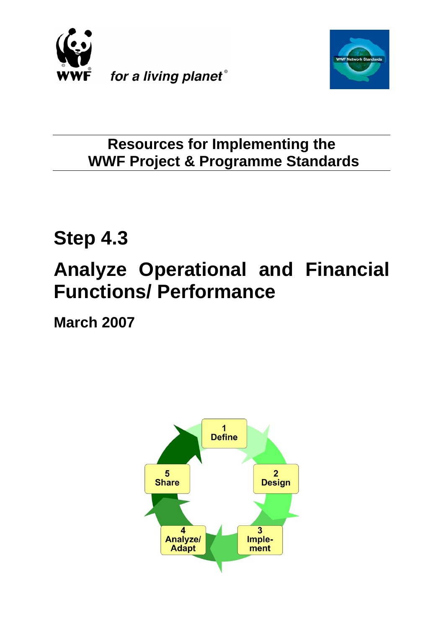



**Resources for Implementing the WWF Project & Programme Standards**

# **Step 4.3**

# **Analyze Operational and Financial Functions/ Performance**

**March 2007**

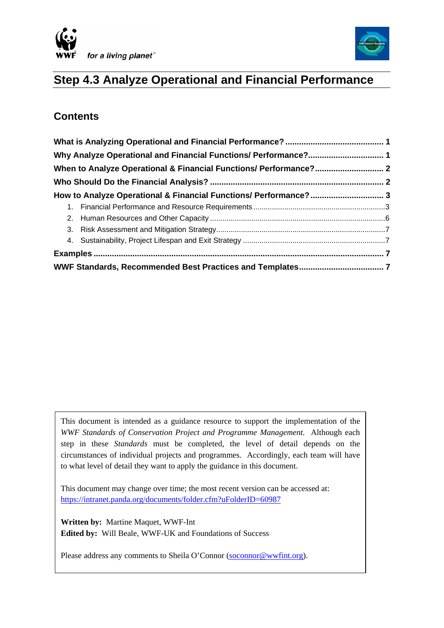



# **Step 4.3 Analyze Operational and Financial Performance**

# **Contents**

 $\overline{\phantom{a}}$ 

| Why Analyze Operational and Financial Functions/ Performance? 1<br>When to Analyze Operational & Financial Functions/ Performance? 2 |                                                                  |  |
|--------------------------------------------------------------------------------------------------------------------------------------|------------------------------------------------------------------|--|
|                                                                                                                                      |                                                                  |  |
|                                                                                                                                      |                                                                  |  |
|                                                                                                                                      | How to Analyze Operational & Financial Functions/ Performance? 3 |  |
|                                                                                                                                      |                                                                  |  |
|                                                                                                                                      |                                                                  |  |
|                                                                                                                                      |                                                                  |  |
|                                                                                                                                      |                                                                  |  |
|                                                                                                                                      |                                                                  |  |
|                                                                                                                                      |                                                                  |  |

This document is intended as a guidance resource to support the implementation of the *WWF Standards of Conservation Project and Programme Management.* Although each step in these *Standards* must be completed, the level of detail depends on the circumstances of individual projects and programmes. Accordingly, each team will have to what level of detail they want to apply the guidance in this document.

This document may change over time; the most recent version can be accessed at: <https://intranet.panda.org/documents/folder.cfm?uFolderID=60987>

**Written by:** Martine Maquet, WWF-Int **Edited by:** Will Beale, WWF-UK and Foundations of Success

Please address any comments to Sheila O'Connor [\(soconnor@wwfint.org](mailto:soconnor@wwfint.org)).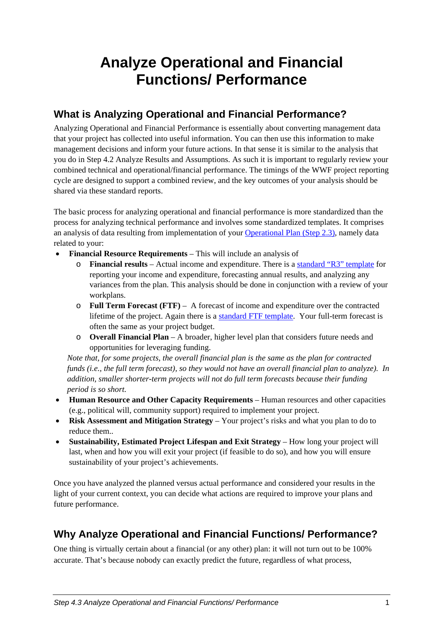# <span id="page-2-0"></span>**Analyze Operational and Financial Functions/ Performance**

# **What is Analyzing Operational and Financial Performance?**

Analyzing Operational and Financial Performance is essentially about converting management data that your project has collected into useful information. You can then use this information to make management decisions and inform your future actions. In that sense it is similar to the analysis that you do in Step 4.2 Analyze Results and Assumptions. As such it is important to regularly review your combined technical and operational/financial performance. The timings of the WWF project reporting cycle are designed to support a combined review, and the key outcomes of your analysis should be shared via these standard reports.

The basic process for analyzing operational and financial performance is more standardized than the process for analyzing technical performance and involves some standardized templates. It comprises an analysis of data resulting from implementation of your [Operational Plan \(Step 2.3\),](https://intranet.panda.org/documents/folder.cfm?uFolderID=60980) namely data related to your:

- **Financial Resource Requirements**  This will include an analysis of
	- o **Financial results**  Actual income and expenditure. There is a [standard "R3" template](https://intranet.panda.org/documents/document.cfm?uFolderID=52860&uDocID=54603) for reporting your income and expenditure, forecasting annual results, and analyzing any variances from the plan. This analysis should be done in conjunction with a review of your workplans.
	- o **Full Term Forecast (FTF)** A forecast of income and expenditure over the contracted lifetime of the project. Again there is a [standard FTF template.](https://intranet.panda.org/documents/document.cfm?uFolderID=52861&uDocID=54604) Your full-term forecast is often the same as your project budget.
	- o **Overall Financial Plan**  A broader, higher level plan that considers future needs and opportunities for leveraging funding.

*Note that, for some projects, the overall financial plan is the same as the plan for contracted funds (i.e., the full term forecast), so they would not have an overall financial plan to analyze). In addition, smaller shorter-term projects will not do full term forecasts because their funding period is so short.* 

- **Human Resource and Other Capacity Requirements**  Human resources and other capacities (e.g., political will, community support) required to implement your project.
- **Risk Assessment and Mitigation Strategy** Your project's risks and what you plan to do to reduce them..
- **Sustainability, Estimated Project Lifespan and Exit Strategy** How long your project will last, when and how you will exit your project (if feasible to do so), and how you will ensure sustainability of your project's achievements.

Once you have analyzed the planned versus actual performance and considered your results in the light of your current context, you can decide what actions are required to improve your plans and future performance.

# **Why Analyze Operational and Financial Functions/ Performance?**

One thing is virtually certain about a financial (or any other) plan: it will not turn out to be 100% accurate. That's because nobody can exactly predict the future, regardless of what process,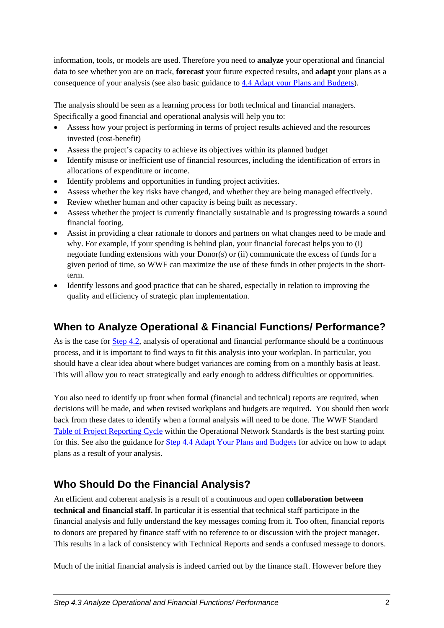<span id="page-3-0"></span>information, tools, or models are used. Therefore you need to **analyze** your operational and financial data to see whether you are on track, **forecast** your future expected results, and **adapt** your plans as a consequence of your analysis (see also basic guidance to [4.4 Adapt your Plans and Budgets](https://intranet.panda.org/documents/folder.cfm?uFolderID=60988)).

The analysis should be seen as a learning process for both technical and financial managers. Specifically a good financial and operational analysis will help you to:

- Assess how your project is performing in terms of project results achieved and the resources invested (cost-benefit)
- Assess the project's capacity to achieve its objectives within its planned budget
- Identify misuse or inefficient use of financial resources, including the identification of errors in allocations of expenditure or income.
- Identify problems and opportunities in funding project activities.
- Assess whether the key risks have changed, and whether they are being managed effectively.
- Review whether human and other capacity is being built as necessary.
- Assess whether the project is currently financially sustainable and is progressing towards a sound financial footing.
- Assist in providing a clear rationale to donors and partners on what changes need to be made and why. For example, if your spending is behind plan, your financial forecast helps you to (i) negotiate funding extensions with your Donor(s) or (ii) communicate the excess of funds for a given period of time, so WWF can maximize the use of these funds in other projects in the shortterm.
- Identify lessons and good practice that can be shared, especially in relation to improving the quality and efficiency of strategic plan implementation.

# **When to Analyze Operational & Financial Functions/ Performance?**

As is the case for [Step 4.2,](https://intranet.panda.org/documents/folder.cfm?uFolderID=60986) analysis of operational and financial performance should be a continuous process, and it is important to find ways to fit this analysis into your workplan. In particular, you should have a clear idea about where budget variances are coming from on a monthly basis at least. This will allow you to react strategically and early enough to address difficulties or opportunities.

You also need to identify up front when formal (financial and technical) reports are required, when decisions will be made, and when revised workplans and budgets are required. You should then work back from these dates to identify when a formal analysis will need to be done. The WWF Standard [Table of Project Reporting Cycle](https://intranet.panda.org/documents/document.cfm?uFolderID=52860&uDocID=54603) within the Operational Network Standards is the best starting point for this. See also the guidance for [Step 4.4 Adapt Your Plans and Budgets](https://intranet.panda.org/documents/folder.cfm?uFolderID=60988) for advice on how to adapt plans as a result of your analysis.

# **Who Should Do the Financial Analysis?**

An efficient and coherent analysis is a result of a continuous and open **collaboration between technical and financial staff.** In particular it is essential that technical staff participate in the financial analysis and fully understand the key messages coming from it. Too often, financial reports to donors are prepared by finance staff with no reference to or discussion with the project manager. This results in a lack of consistency with Technical Reports and sends a confused message to donors.

Much of the initial financial analysis is indeed carried out by the finance staff. However before they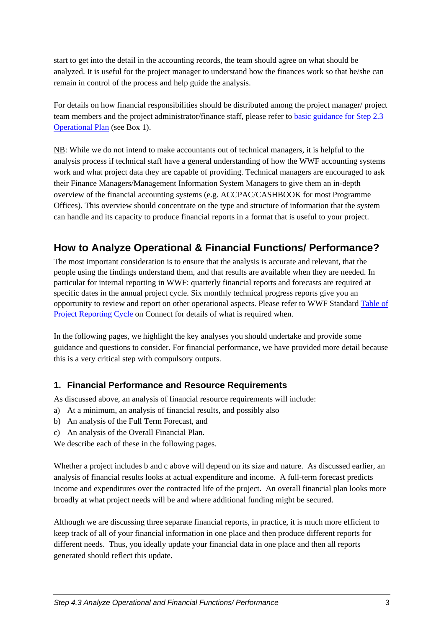<span id="page-4-0"></span>start to get into the detail in the accounting records, the team should agree on what should be analyzed. It is useful for the project manager to understand how the finances work so that he/she can remain in control of the process and help guide the analysis.

For details on how financial responsibilities should be distributed among the project manager/ project team members and the project administrator/finance staff, please refer to [basic guidance for Step 2.3](https://intranet.panda.org/documents/folder.cfm?uFolderID=60980)  [Operational Plan](https://intranet.panda.org/documents/folder.cfm?uFolderID=60980) (see Box 1).

NB: While we do not intend to make accountants out of technical managers, it is helpful to the analysis process if technical staff have a general understanding of how the WWF accounting systems work and what project data they are capable of providing. Technical managers are encouraged to ask their Finance Managers/Management Information System Managers to give them an in-depth overview of the financial accounting systems (e.g. ACCPAC/CASHBOOK for most Programme Offices). This overview should concentrate on the type and structure of information that the system can handle and its capacity to produce financial reports in a format that is useful to your project.

# **How to Analyze Operational & Financial Functions/ Performance?**

The most important consideration is to ensure that the analysis is accurate and relevant, that the people using the findings understand them, and that results are available when they are needed. In particular for internal reporting in WWF: quarterly financial reports and forecasts are required at specific dates in the annual project cycle. Six monthly technical progress reports give you an opportunity to review and report on other operational aspects. Please refer to WWF Standard [Table of](https://intranet.panda.org/documents/document.cfm?uFolderID=52860&uDocID=54603)  [Project Reporting Cycle](https://intranet.panda.org/documents/document.cfm?uFolderID=52860&uDocID=54603) on Connect for details of what is required when.

In the following pages, we highlight the key analyses you should undertake and provide some guidance and questions to consider. For financial performance, we have provided more detail because this is a very critical step with compulsory outputs.

## **1. Financial Performance and Resource Requirements**

As discussed above, an analysis of financial resource requirements will include:

- a) At a minimum, an analysis of financial results, and possibly also
- b) An analysis of the Full Term Forecast, and
- c) An analysis of the Overall Financial Plan.

We describe each of these in the following pages.

Whether a project includes b and c above will depend on its size and nature. As discussed earlier, an analysis of financial results looks at actual expenditure and income. A full-term forecast predicts income and expenditures over the contracted life of the project. An overall financial plan looks more broadly at what project needs will be and where additional funding might be secured.

Although we are discussing three separate financial reports, in practice, it is much more efficient to keep track of all of your financial information in one place and then produce different reports for different needs. Thus, you ideally update your financial data in one place and then all reports generated should reflect this update.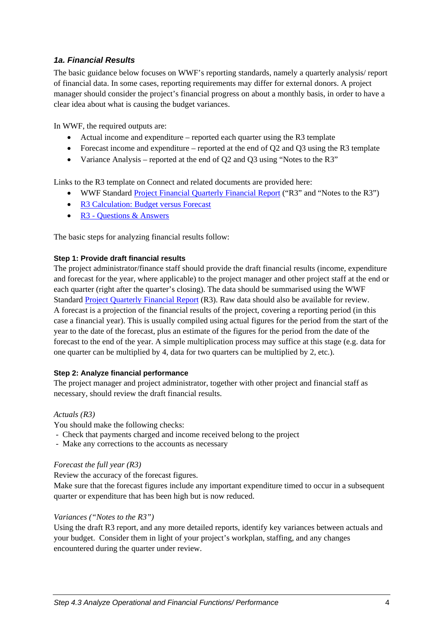## *1a. Financial Results*

The basic guidance below focuses on WWF's reporting standards, namely a quarterly analysis/ report of financial data. In some cases, reporting requirements may differ for external donors. A project manager should consider the project's financial progress on about a monthly basis, in order to have a clear idea about what is causing the budget variances.

In WWF, the required outputs are:

- Actual income and expenditure reported each quarter using the R3 template
- Forecast income and expenditure reported at the end of O2 and O3 using the R3 template
- Variance Analysis reported at the end of Q2 and Q3 using "Notes to the R3"

Links to the R3 template on Connect and related documents are provided here:

- WWF Standard [Project Financial Quarterly Financial Report](https://intranet.panda.org/documents/document.cfm?uFolderID=52860&uDocID=54603) ("R3" and "Notes to the R3")
- [R3 Calculation: Budget versus Forecast](https://intranet.panda.org/documents/document.cfm?uFolderID=52860&uDocID=61808)
- [R3 Questions & Answers](https://intranet.panda.org/documents/document.cfm?uFolderID=52860&uDocID=54603)

The basic steps for analyzing financial results follow:

#### **Step 1: Provide draft financial results**

The project administrator/finance staff should provide the draft financial results (income, expenditure and forecast for the year, where applicable) to the project manager and other project staff at the end or each quarter (right after the quarter's closing). The data should be summarised using the WWF Standard [Project Quarterly Financial Report](https://intranet.panda.org/documents/document.cfm?uFolderID=52860&uDocID=54603) (R3). Raw data should also be available for review. A forecast is a projection of the financial results of the project, covering a reporting period (in this case a financial year). This is usually compiled using actual figures for the period from the start of the year to the date of the forecast, plus an estimate of the figures for the period from the date of the forecast to the end of the year. A simple multiplication process may suffice at this stage (e.g. data for one quarter can be multiplied by 4, data for two quarters can be multiplied by 2, etc.).

#### **Step 2: Analyze financial performance**

The project manager and project administrator, together with other project and financial staff as necessary, should review the draft financial results.

#### *Actuals (R3)*

You should make the following checks:

- Check that payments charged and income received belong to the project
- Make any corrections to the accounts as necessary

#### *Forecast the full year (R3)*

Review the accuracy of the forecast figures.

Make sure that the forecast figures include any important expenditure timed to occur in a subsequent quarter or expenditure that has been high but is now reduced.

#### *Variances ("Notes to the R3")*

Using the draft R3 report, and any more detailed reports, identify key variances between actuals and your budget. Consider them in light of your project's workplan, staffing, and any changes encountered during the quarter under review.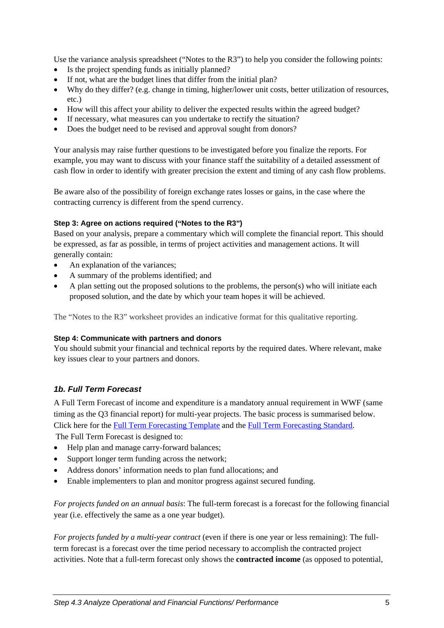Use the variance analysis spreadsheet ("Notes to the R3") to help you consider the following points:

- Is the project spending funds as initially planned?
- If not, what are the budget lines that differ from the initial plan?
- Why do they differ? (e.g. change in timing, higher/lower unit costs, better utilization of resources, etc.)
- How will this affect your ability to deliver the expected results within the agreed budget?
- If necessary, what measures can you undertake to rectify the situation?
- Does the budget need to be revised and approval sought from donors?

Your analysis may raise further questions to be investigated before you finalize the reports. For example, you may want to discuss with your finance staff the suitability of a detailed assessment of cash flow in order to identify with greater precision the extent and timing of any cash flow problems.

Be aware also of the possibility of foreign exchange rates losses or gains, in the case where the contracting currency is different from the spend currency.

### **Step 3: Agree on actions required ("Notes to the R3")**

Based on your analysis, prepare a commentary which will complete the financial report. This should be expressed, as far as possible, in terms of project activities and management actions. It will generally contain:

- An explanation of the variances;
- A summary of the problems identified; and
- A plan setting out the proposed solutions to the problems, the person(s) who will initiate each proposed solution, and the date by which your team hopes it will be achieved.

The "Notes to the R3" worksheet provides an indicative format for this qualitative reporting.

#### **Step 4: Communicate with partners and donors**

You should submit your financial and technical reports by the required dates. Where relevant, make key issues clear to your partners and donors.

## *1b. Full Term Forecast*

A Full Term Forecast of income and expenditure is a mandatory annual requirement in WWF (same timing as the Q3 financial report) for multi-year projects. The basic process is summarised below. Click here for the [Full Term Forecasting Template](https://intranet.panda.org/documents/document.cfm?uFolderID=52861&uDocID=54604) and the [Full Term Forecasting Standard.](https://intranet.panda.org/documents/document.cfm?uFolderID=52861&uDocID=54604)

The Full Term Forecast is designed to:

- Help plan and manage carry-forward balances:
- Support longer term funding across the network;
- Address donors' information needs to plan fund allocations; and
- Enable implementers to plan and monitor progress against secured funding.

*For projects funded on an annual basis*: The full-term forecast is a forecast for the following financial year (i.e. effectively the same as a one year budget).

*For projects funded by a multi-year contract* (even if there is one year or less remaining): The fullterm forecast is a forecast over the time period necessary to accomplish the contracted project activities. Note that a full-term forecast only shows the **contracted income** (as opposed to potential,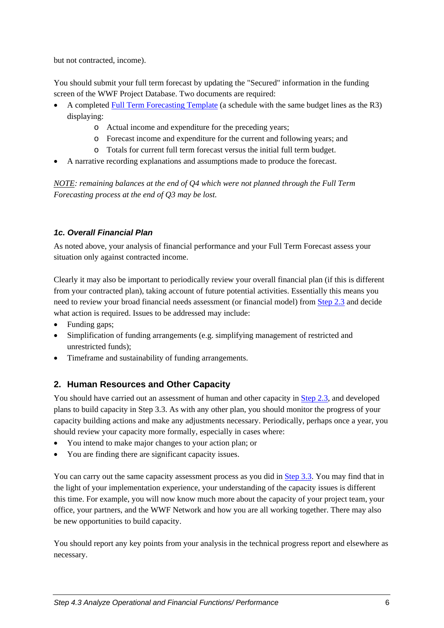<span id="page-7-0"></span>but not contracted, income).

You should submit your full term forecast by updating the "Secured" information in the funding screen of the WWF Project Database. Two documents are required:

- A completed [Full Term Forecasting Template](https://intranet.panda.org/documents/document.cfm?uFolderID=52861&uDocID=54604) (a schedule with the same budget lines as the R3) displaying:
	- o Actual income and expenditure for the preceding years;
	- o Forecast income and expenditure for the current and following years; and
	- o Totals for current full term forecast versus the initial full term budget.
- A narrative recording explanations and assumptions made to produce the forecast.

*NOTE: remaining balances at the end of Q4 which were not planned through the Full Term Forecasting process at the end of Q3 may be lost.*

## *1c. Overall Financial Plan*

As noted above, your analysis of financial performance and your Full Term Forecast assess your situation only against contracted income.

Clearly it may also be important to periodically review your overall financial plan (if this is different from your contracted plan), taking account of future potential activities. Essentially this means you need to review your broad financial needs assessment (or financial model) from [Step 2.3](https://intranet.panda.org/documents/folder.cfm?uFolderID=60980) and decide what action is required. Issues to be addressed may include:

- Funding gaps;
- Simplification of funding arrangements (e.g. simplifying management of restricted and unrestricted funds);
- Timeframe and sustainability of funding arrangements.

## **2. Human Resources and Other Capacity**

You should have carried out an assessment of human and other capacity in [Step 2.3](https://intranet.panda.org/documents/folder.cfm?uFolderID=60980), and developed plans to build capacity in Step 3.3. As with any other plan, you should monitor the progress of your capacity building actions and make any adjustments necessary. Periodically, perhaps once a year, you should review your capacity more formally, especially in cases where:

- You intend to make major changes to your action plan; or
- You are finding there are significant capacity issues.

You can carry out the same capacity assessment process as you did in [Step 3.3.](https://intranet.panda.org/documents/folder.cfm?uFolderID=60983) You may find that in the light of your implementation experience, your understanding of the capacity issues is different this time. For example, you will now know much more about the capacity of your project team, your office, your partners, and the WWF Network and how you are all working together. There may also be new opportunities to build capacity.

You should report any key points from your analysis in the technical progress report and elsewhere as necessary.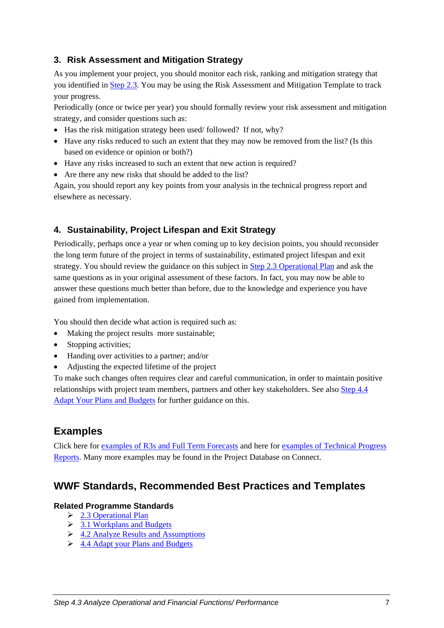## <span id="page-8-0"></span>**3. Risk Assessment and Mitigation Strategy**

As you implement your project, you should monitor each risk, ranking and mitigation strategy that you identified in [Step 2.3.](https://intranet.panda.org/documents/folder.cfm?uFolderID=60980) You may be using the [Risk Assessment and Mitigation Template](https://intranet.panda.org/documents/folder.cfm?uFolderID=60980) to track your progress.

Periodically (once or twice per year) you should formally review your risk assessment and mitigation strategy, and consider questions such as:

- Has the risk mitigation strategy been used/ followed? If not, why?
- Have any risks reduced to such an extent that they may now be removed from the list? (Is this based on evidence or opinion or both?)
- Have any risks increased to such an extent that new action is required?
- Are there any new risks that should be added to the list?

Again, you should report any key points from your analysis in the technical progress report and elsewhere as necessary.

## **4. Sustainability, Project Lifespan and Exit Strategy**

Periodically, perhaps once a year or when coming up to key decision points, you should reconsider the long term future of the project in terms of sustainability, estimated project lifespan and exit strategy. You should review the guidance on this subject in [Step 2.3 Operational Plan](https://intranet.panda.org/documents/folder.cfm?uFolderID=60980) and ask the same questions as in your original assessment of these factors. In fact, you may now be able to answer these questions much better than before, due to the knowledge and experience you have gained from implementation.

You should then decide what action is required such as:

- Making the project results more sustainable;
- Stopping activities;
- Handing over activities to a partner; and/or
- Adjusting the expected lifetime of the project

To make such changes often requires clear and careful communication, in order to maintain positive relationships with project team members, partners and other key stakeholders. See also [Step 4.4](https://intranet.panda.org/documents/folder.cfm?uFolderID=60988)  [Adapt Your Plans and Budgets](https://intranet.panda.org/documents/folder.cfm?uFolderID=60988) for further guidance on this.

# **Examples**

Click here for [examples of R3s and Full Term Forecasts](https://intranet.panda.org/documents/folder.cfm?uFolderID=60987) and here for [examples of Technical Progress](https://intranet.panda.org/documents/folder.cfm?uFolderID=74946)  [Reports](https://intranet.panda.org/documents/folder.cfm?uFolderID=74946). Many more examples may be found in the Project Database on Connect.

## **WWF Standards, Recommended Best Practices and Templates**

## **Related Programme Standards**

- $\geq$  [2.3 Operational Plan](https://intranet.panda.org/documents/folder.cfm?uFolderID=60980)
- $\geq$  [3.1 Workplans and Budgets](https://intranet.panda.org/documents/folder.cfm?uFolderID=60981)
- $\triangleright$  [4.2 Analyze Results and Assumptions](https://intranet.panda.org/documents/folder.cfm?uFolderID=60986)
- $\geq 4.4$  Adapt your Plans and Budgets